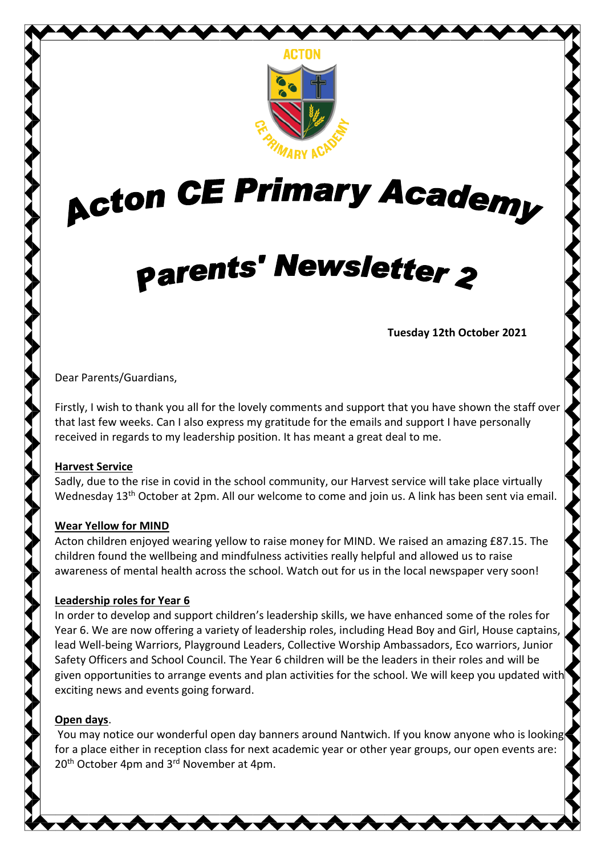

# **Acton CE Primary Academy**

# **parents' Newsletter 2**

**Tuesday 12th October 2021**

Dear Parents/Guardians,

Firstly, I wish to thank you all for the lovely comments and support that you have shown the staff over that last few weeks. Can I also express my gratitude for the emails and support I have personally received in regards to my leadership position. It has meant a great deal to me.

# **Harvest Service**

Sadly, due to the rise in covid in the school community, our Harvest service will take place virtually Wednesday 13<sup>th</sup> October at 2pm. All our welcome to come and join us. A link has been sent via email.

# **Wear Yellow for MIND**

Acton children enjoyed wearing yellow to raise money for MIND. We raised an amazing £87.15. The children found the wellbeing and mindfulness activities really helpful and allowed us to raise awareness of mental health across the school. Watch out for us in the local newspaper very soon!

# **Leadership roles for Year 6**

In order to develop and support children's leadership skills, we have enhanced some of the roles for Year 6. We are now offering a variety of leadership roles, including Head Boy and Girl, House captains, lead Well-being Warriors, Playground Leaders, Collective Worship Ambassadors, Eco warriors, Junior Safety Officers and School Council. The Year 6 children will be the leaders in their roles and will be given opportunities to arrange events and plan activities for the school. We will keep you updated with exciting news and events going forward.

# **Open days**.

You may notice our wonderful open day banners around Nantwich. If you know anyone who is looking for a place either in reception class for next academic year or other year groups, our open events are: 20<sup>th</sup> October 4pm and 3<sup>rd</sup> November at 4pm.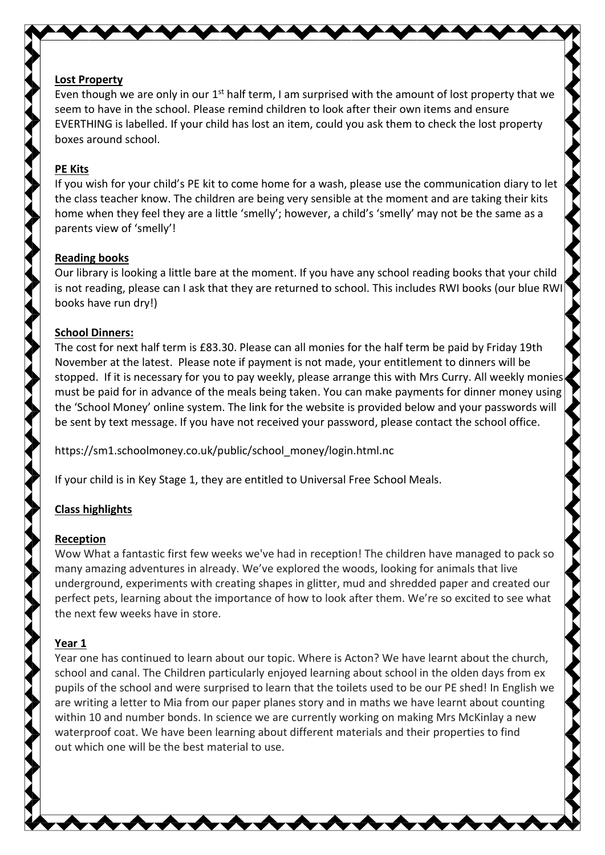# **Lost Property**

Even though we are only in our  $1<sup>st</sup>$  half term, I am surprised with the amount of lost property that we seem to have in the school. Please remind children to look after their own items and ensure EVERTHING is labelled. If your child has lost an item, could you ask them to check the lost property boxes around school.

#### **PE Kits**

If you wish for your child's PE kit to come home for a wash, please use the communication diary to let the class teacher know. The children are being very sensible at the moment and are taking their kits home when they feel they are a little 'smelly'; however, a child's 'smelly' may not be the same as a parents view of 'smelly'!

#### **Reading books**

Our library is looking a little bare at the moment. If you have any school reading books that your child is not reading, please can I ask that they are returned to school. This includes RWI books (our blue RWI books have run dry!)

#### **School Dinners:**

The cost for next half term is £83.30. Please can all monies for the half term be paid by Friday 19th November at the latest. Please note if payment is not made, your entitlement to dinners will be stopped. If it is necessary for you to pay weekly, please arrange this with Mrs Curry. All weekly monies must be paid for in advance of the meals being taken. You can make payments for dinner money using the 'School Money' online system. The link for the website is provided below and your passwords will be sent by text message. If you have not received your password, please contact the school office.

https://sm1.schoolmoney.co.uk/public/school\_money/login.html.nc

If your child is in Key Stage 1, they are entitled to Universal Free School Meals.

# **Class highlights**

# **Reception**

Wow What a fantastic first few weeks we've had in reception! The children have managed to pack so many amazing adventures in already. We've explored the woods, looking for animals that live underground, experiments with creating shapes in glitter, mud and shredded paper and created our perfect pets, learning about the importance of how to look after them. We're so excited to see what the next few weeks have in store.

# **Year 1**

Year one has continued to learn about our topic. Where is Acton? We have learnt about the church, school and canal. The Children particularly enjoyed learning about school in the olden days from ex pupils of the school and were surprised to learn that the toilets used to be our PE shed! In English we are writing a letter to Mia from our paper planes story and in maths we have learnt about counting within 10 and number bonds. In science we are currently working on making Mrs McKinlay a new waterproof coat. We have been learning about different materials and their properties to find out which one will be the best material to use.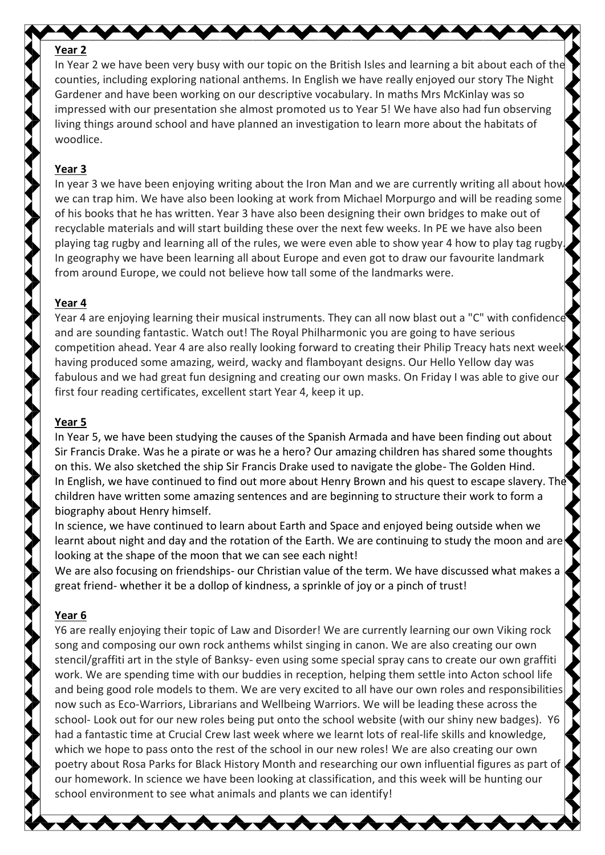#### **Year 2**

In Year 2 we have been very busy with our topic on the British Isles and learning a bit about each of the counties, including exploring national anthems. In English we have really enjoyed our story The Night Gardener and have been working on our descriptive vocabulary. In maths Mrs McKinlay was so impressed with our presentation she almost promoted us to Year 5! We have also had fun observing living things around school and have planned an investigation to learn more about the habitats of woodlice.

#### **Year 3**

In year 3 we have been enjoying writing about the Iron Man and we are currently writing all about how we can trap him. We have also been looking at work from Michael Morpurgo and will be reading some of his books that he has written. Year 3 have also been designing their own bridges to make out of recyclable materials and will start building these over the next few weeks. In PE we have also been playing tag rugby and learning all of the rules, we were even able to show year 4 how to play tag rugby. In geography we have been learning all about Europe and even got to draw our favourite landmark from around Europe, we could not believe how tall some of the landmarks were.

#### **Year 4**

Year 4 are enjoying learning their musical instruments. They can all now blast out a "C" with confidence and are sounding fantastic. Watch out! The Royal Philharmonic you are going to have serious competition ahead. Year 4 are also really looking forward to creating their Philip Treacy hats next week having produced some amazing, weird, wacky and flamboyant designs. Our Hello Yellow day was fabulous and we had great fun designing and creating our own masks. On Friday I was able to give our first four reading certificates, excellent start Year 4, keep it up.

#### **Year 5**

In Year 5, we have been studying the causes of the Spanish Armada and have been finding out about Sir Francis Drake. Was he a pirate or was he a hero? Our amazing children has shared some thoughts on this. We also sketched the ship Sir Francis Drake used to navigate the globe- The Golden Hind. In English, we have continued to find out more about Henry Brown and his quest to escape slavery. The children have written some amazing sentences and are beginning to structure their work to form a biography about Henry himself.

In science, we have continued to learn about Earth and Space and enjoyed being outside when we learnt about night and day and the rotation of the Earth. We are continuing to study the moon and are looking at the shape of the moon that we can see each night!

We are also focusing on friendships- our Christian value of the term. We have discussed what makes a great friend- whether it be a dollop of kindness, a sprinkle of joy or a pinch of trust!

#### **Year 6**

Y6 are really enjoying their topic of Law and Disorder! We are currently learning our own Viking rock song and composing our own rock anthems whilst singing in canon. We are also creating our own stencil/graffiti art in the style of Banksy- even using some special spray cans to create our own graffiti work. We are spending time with our buddies in reception, helping them settle into Acton school life and being good role models to them. We are very excited to all have our own roles and responsibilities now such as Eco-Warriors, Librarians and Wellbeing Warriors. We will be leading these across the school- Look out for our new roles being put onto the school website (with our shiny new badges). Y6 had a fantastic time at Crucial Crew last week where we learnt lots of real-life skills and knowledge, which we hope to pass onto the rest of the school in our new roles! We are also creating our own poetry about Rosa Parks for Black History Month and researching our own influential figures as part of our homework. In science we have been looking at classification, and this week will be hunting our school environment to see what animals and plants we can identify!